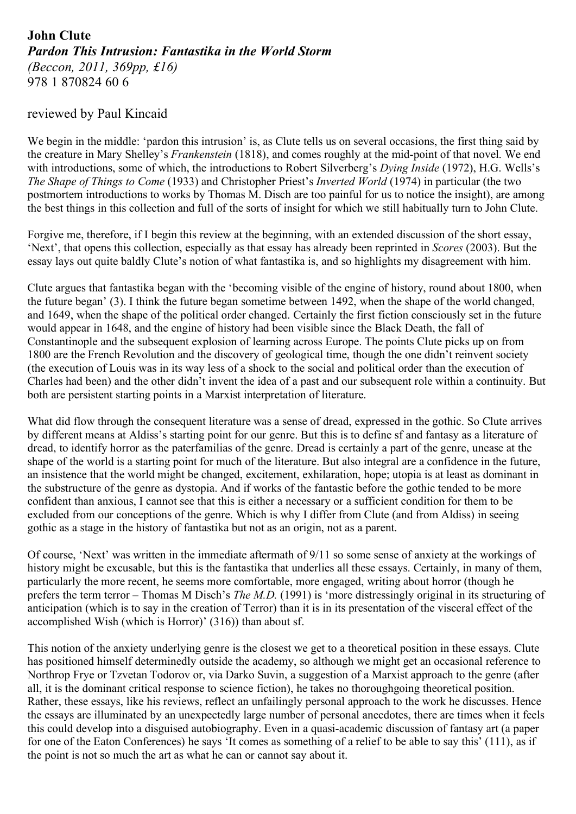## **John Clute** *Pardon This Intrusion: Fantastika in the World Storm (Beccon, 2011, 369pp, £16)* 978 1 870824 60 6

## reviewed by Paul Kincaid

We begin in the middle: 'pardon this intrusion' is, as Clute tells us on several occasions, the first thing said by the creature in Mary Shelley's *Frankenstein* (1818), and comes roughly at the mid-point of that novel. We end with introductions, some of which, the introductions to Robert Silverberg's *Dying Inside* (1972), H.G. Wells's *The Shape of Things to Come* (1933) and Christopher Priest's *Inverted World* (1974) in particular (the two postmortem introductions to works by Thomas M. Disch are too painful for us to notice the insight), are among the best things in this collection and full of the sorts of insight for which we still habitually turn to John Clute.

Forgive me, therefore, if I begin this review at the beginning, with an extended discussion of the short essay, 'Next', that opens this collection, especially as that essay has already been reprinted in *Scores* (2003). But the essay lays out quite baldly Clute's notion of what fantastika is, and so highlights my disagreement with him.

Clute argues that fantastika began with the 'becoming visible of the engine of history, round about 1800, when the future began' (3). I think the future began sometime between 1492, when the shape of the world changed, and 1649, when the shape of the political order changed. Certainly the first fiction consciously set in the future would appear in 1648, and the engine of history had been visible since the Black Death, the fall of Constantinople and the subsequent explosion of learning across Europe. The points Clute picks up on from 1800 are the French Revolution and the discovery of geological time, though the one didn't reinvent society (the execution of Louis was in its way less of a shock to the social and political order than the execution of Charles had been) and the other didn't invent the idea of a past and our subsequent role within a continuity. But both are persistent starting points in a Marxist interpretation of literature.

What did flow through the consequent literature was a sense of dread, expressed in the gothic. So Clute arrives by different means at Aldiss's starting point for our genre. But this is to define sf and fantasy as a literature of dread, to identify horror as the paterfamilias of the genre. Dread is certainly a part of the genre, unease at the shape of the world is a starting point for much of the literature. But also integral are a confidence in the future, an insistence that the world might be changed, excitement, exhilaration, hope; utopia is at least as dominant in the substructure of the genre as dystopia. And if works of the fantastic before the gothic tended to be more confident than anxious, I cannot see that this is either a necessary or a sufficient condition for them to be excluded from our conceptions of the genre. Which is why I differ from Clute (and from Aldiss) in seeing gothic as a stage in the history of fantastika but not as an origin, not as a parent.

Of course, 'Next' was written in the immediate aftermath of 9/11 so some sense of anxiety at the workings of history might be excusable, but this is the fantastika that underlies all these essays. Certainly, in many of them, particularly the more recent, he seems more comfortable, more engaged, writing about horror (though he prefers the term terror – Thomas M Disch's *The M.D.* (1991) is 'more distressingly original in its structuring of anticipation (which is to say in the creation of Terror) than it is in its presentation of the visceral effect of the accomplished Wish (which is Horror)' (316)) than about sf.

This notion of the anxiety underlying genre is the closest we get to a theoretical position in these essays. Clute has positioned himself determinedly outside the academy, so although we might get an occasional reference to Northrop Frye or Tzvetan Todorov or, via Darko Suvin, a suggestion of a Marxist approach to the genre (after all, it is the dominant critical response to science fiction), he takes no thoroughgoing theoretical position. Rather, these essays, like his reviews, reflect an unfailingly personal approach to the work he discusses. Hence the essays are illuminated by an unexpectedly large number of personal anecdotes, there are times when it feels this could develop into a disguised autobiography. Even in a quasi-academic discussion of fantasy art (a paper for one of the Eaton Conferences) he says 'It comes as something of a relief to be able to say this' (111), as if the point is not so much the art as what he can or cannot say about it.